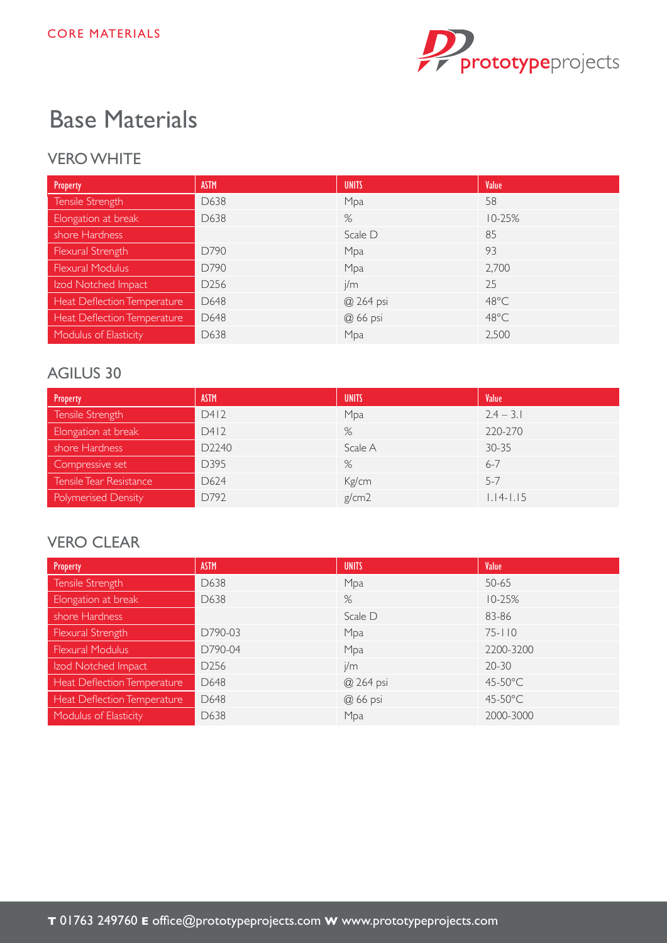

# Base Materials

#### VERO WHITE

| Property                    | <b>ASTM</b>      | <b>UNITS</b> | Value          |
|-----------------------------|------------------|--------------|----------------|
| Tensile Strength            | D638             | Mpa          | 58             |
| Elongation at break         | D638             | %            | $10 - 25%$     |
| shore Hardness              |                  | Scale D      | 85             |
| Flexural Strength           | D790             | Mpa          | 93             |
| <b>Flexural Modulus</b>     | D790             | Mpa          | 2,700          |
| Izod Notched Impact         | D <sub>256</sub> | j/m          | 25             |
| Heat Deflection Temperature | D648             | @ 264 psi    | $48^{\circ}$ C |
| Heat Deflection Temperature | D648             | @ 66 psi     | $48^{\circ}$ C |
| Modulus of Elasticity       | D638             | Mpa          | 2,500          |

#### AGILUS 30

| Property                   | <b>ASTM</b> | <b>UNITS</b> | Value         |
|----------------------------|-------------|--------------|---------------|
| Tensile Strength           | D412        | Mpa          | $2.4 - 3.1$   |
| Elongation at break        | D412        | %            | 220-270       |
| shore Hardness             | D2240       | Scale A      | $30 - 35$     |
| Compressive set            | D395        | %            | $6 - 7$       |
| Tensile Tear Resistance    | D624        | Kg/cm        | $5 - 7$       |
| <b>Polymerised Density</b> | D792        | g/cm2        | $1.14 - 1.15$ |

#### **VERO CLEAR**

| Property                    | <b>ASTM</b>      | <b>UNITS</b> | Value      |
|-----------------------------|------------------|--------------|------------|
| Tensile Strength            | D638             | Mpa          | $50 - 65$  |
| Elongation at break         | D638             | %            | $10 - 25%$ |
| shore Hardness              |                  | Scale D      | 83-86      |
| Flexural Strength           | D790-03          | Mpa          | $75 - 110$ |
| <b>Flexural Modulus</b>     | D790-04          | Mpa          | 2200-3200  |
| Izod Notched Impact         | D <sub>256</sub> | j/m          | $20 - 30$  |
| Heat Deflection Temperature | D648             | @ 264 psi    | 45-50°C    |
| Heat Deflection Temperature | D648             | @ 66 psi     | 45-50°C    |
| Modulus of Elasticity       | D638             | Mpa          | 2000-3000  |